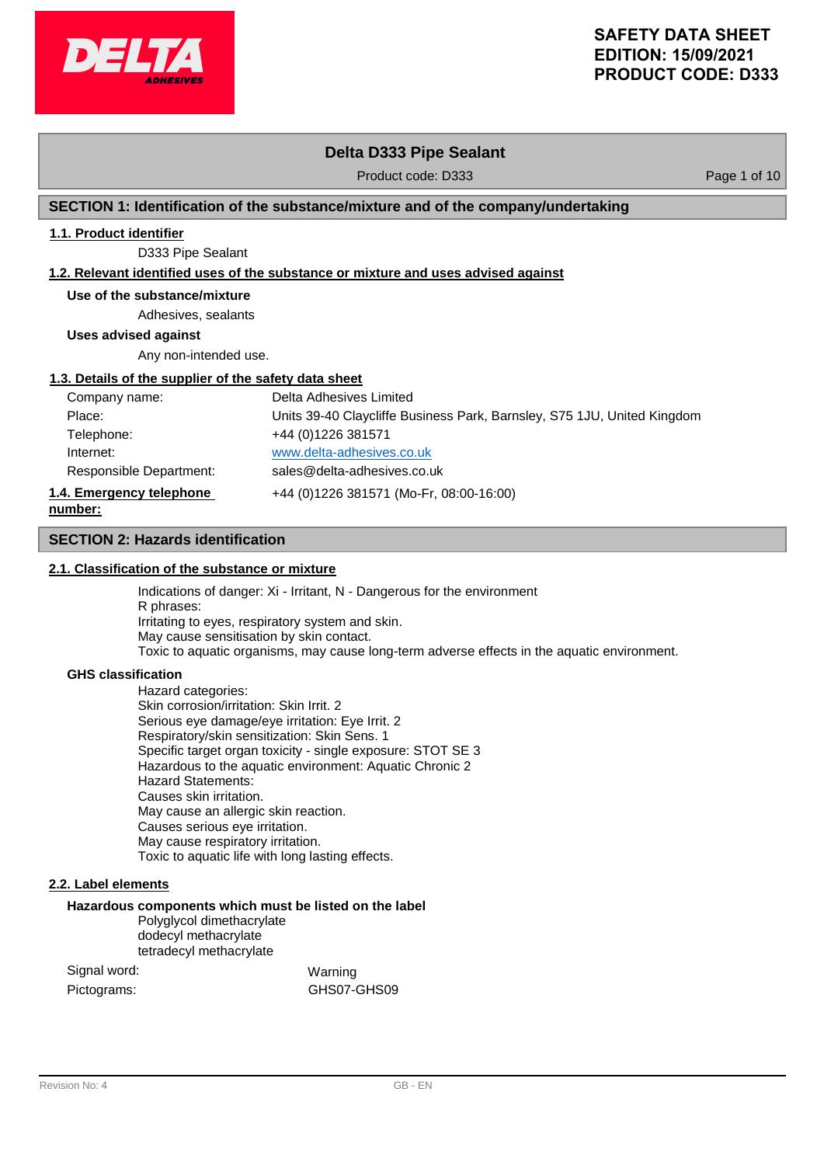

# **Delta D333 Pipe Sealant**

Product code: D333 Product code: D333

# **SECTION 1: Identification of the substance/mixture and of the company/undertaking**

# **1.1. Product identifier**

D333 Pipe Sealant

## **1.2. Relevant identified uses of the substance or mixture and uses advised against**

# **Use of the substance/mixture**

Adhesives, sealants

**Uses advised against**

Any non-intended use.

## **1.3. Details of the supplier of the safety data sheet**

| Company name:            | Delta Adhesives Limited                                                 |
|--------------------------|-------------------------------------------------------------------------|
| Place:                   | Units 39-40 Claycliffe Business Park, Barnsley, S75 1JU, United Kingdom |
| Telephone:               | +44 (0) 1226 381571                                                     |
| Internet:                | www.delta-adhesives.co.uk                                               |
| Responsible Department:  | sales@delta-adhesives.co.uk                                             |
| 1.4. Emergency telephone | +44 (0)1226 381571 (Mo-Fr, 08:00-16:00)                                 |
| number:                  |                                                                         |

## **SECTION 2: Hazards identification**

## **2.1. Classification of the substance or mixture**

Indications of danger: Xi - Irritant, N - Dangerous for the environment R phrases: Irritating to eyes, respiratory system and skin. May cause sensitisation by skin contact. Toxic to aquatic organisms, may cause long-term adverse effects in the aquatic environment.

### **GHS classification**

**number:**

Hazard categories: Skin corrosion/irritation: Skin Irrit. 2 Serious eye damage/eye irritation: Eye Irrit. 2 Respiratory/skin sensitization: Skin Sens. 1 Specific target organ toxicity - single exposure: STOT SE 3 Hazardous to the aquatic environment: Aquatic Chronic 2 Hazard Statements: Causes skin irritation. May cause an allergic skin reaction. Causes serious eye irritation. May cause respiratory irritation. Toxic to aquatic life with long lasting effects.

## **2.2. Label elements**

## **Hazardous components which must be listed on the label**

Polyglycol dimethacrylate dodecyl methacrylate tetradecyl methacrylate

Signal word: Warning Pictograms: GHS07-GHS09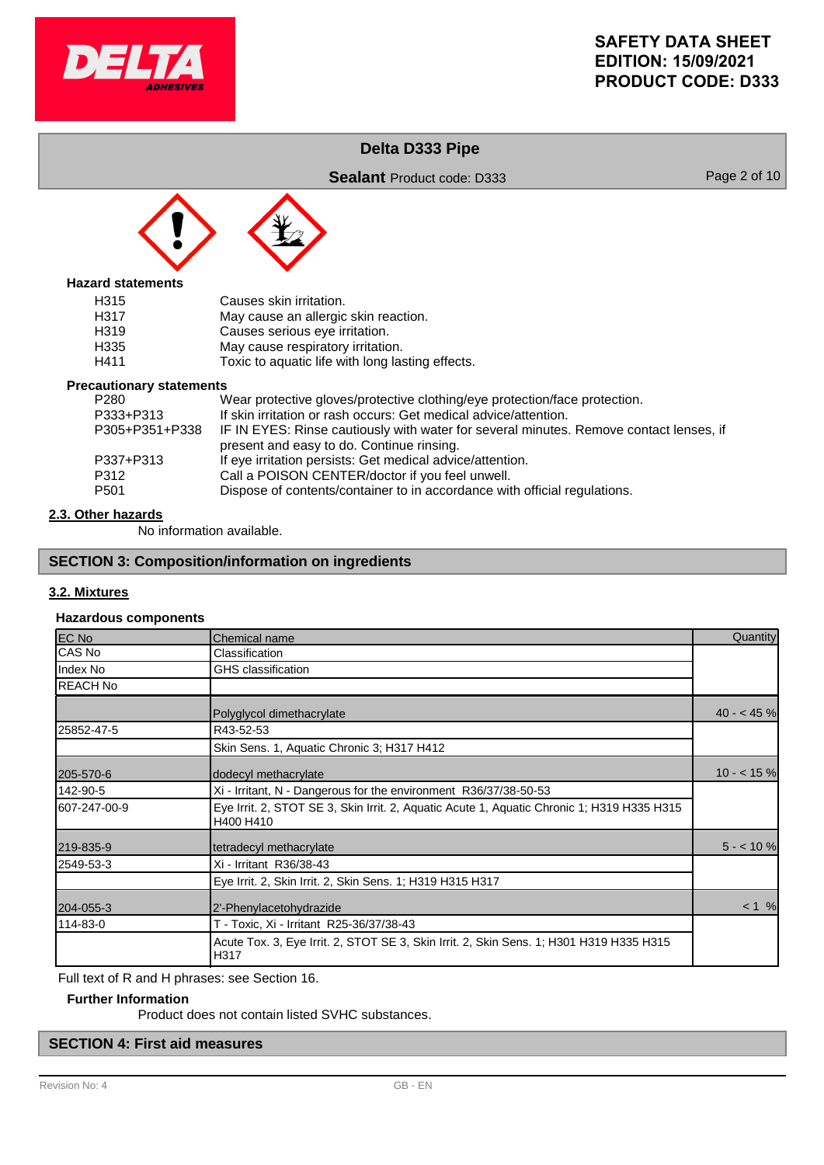

# **Delta D333 Pipe**

**Sealant** Product code: D333 Page 2 of 10



## **Hazard statements**

| Causes skin irritation.                          |
|--------------------------------------------------|
| May cause an allergic skin reaction.             |
| Causes serious eye irritation.                   |
| May cause respiratory irritation.                |
| Toxic to aquatic life with long lasting effects. |
|                                                  |

## **Precautionary statements**

| <u>aational I otatonionio</u> |                                                                                        |
|-------------------------------|----------------------------------------------------------------------------------------|
| P280                          | Wear protective gloves/protective clothing/eye protection/face protection.             |
| P333+P313                     | If skin irritation or rash occurs: Get medical advice/attention.                       |
| P305+P351+P338                | IF IN EYES: Rinse cautiously with water for several minutes. Remove contact lenses, if |
|                               | present and easy to do. Continue rinsing.                                              |
| P337+P313                     | If eye irritation persists: Get medical advice/attention.                              |
| P312                          | Call a POISON CENTER/doctor if you feel unwell.                                        |
| P501                          | Dispose of contents/container to in accordance with official regulations.              |
|                               |                                                                                        |

# **2.3. Other hazards**

No information available.

# **SECTION 3: Composition/information on ingredients**

## **3.2. Mixtures**

### **Hazardous components**

| EC No           | Chemical name                                                                                           | Quantity    |
|-----------------|---------------------------------------------------------------------------------------------------------|-------------|
| CAS No          | Classification                                                                                          |             |
| Index No        | <b>GHS</b> classification                                                                               |             |
| <b>REACH No</b> |                                                                                                         |             |
|                 | Polyglycol dimethacrylate                                                                               | $40 - 45$ % |
| 25852-47-5      | R43-52-53                                                                                               |             |
|                 | Skin Sens. 1, Aquatic Chronic 3; H317 H412                                                              |             |
| 205-570-6       | dodecyl methacrylate                                                                                    | $10 - 15$ % |
| 142-90-5        | Xi - Irritant, N - Dangerous for the environment R36/37/38-50-53                                        |             |
| 607-247-00-9    | Eye Irrit. 2, STOT SE 3, Skin Irrit. 2, Aquatic Acute 1, Aquatic Chronic 1; H319 H335 H315<br>H400 H410 |             |
| 219-835-9       | tetradecyl methacrylate                                                                                 | $5 - 10$ %  |
| 2549-53-3       | Xi - Irritant R36/38-43                                                                                 |             |
|                 | Eye Irrit. 2, Skin Irrit. 2, Skin Sens. 1; H319 H315 H317                                               |             |
| 204-055-3       | 2'-Phenylacetohydrazide                                                                                 | $< 1$ %     |
| 114-83-0        | T - Toxic, Xi - Irritant R25-36/37/38-43                                                                |             |
|                 | Acute Tox. 3, Eye Irrit. 2, STOT SE 3, Skin Irrit. 2, Skin Sens. 1; H301 H319 H335 H315<br>H317         |             |

Full text of R and H phrases: see Section 16.

## **Further Information**

Product does not contain listed SVHC substances.

# **SECTION 4: First aid measures**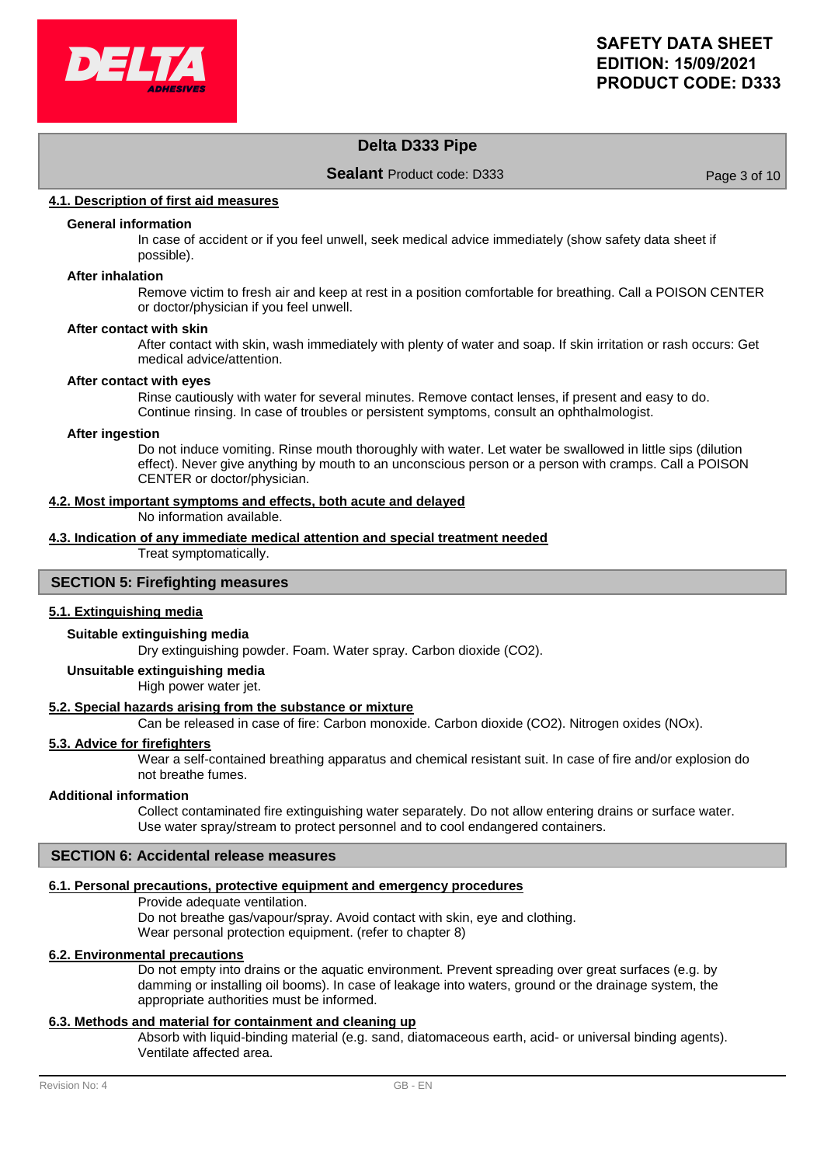

# **Delta D333 Pipe**

**Sealant** Product code: D333 Page 3 of 10

## **4.1. Description of first aid measures**

## **General information**

In case of accident or if you feel unwell, seek medical advice immediately (show safety data sheet if possible).

## **After inhalation**

Remove victim to fresh air and keep at rest in a position comfortable for breathing. Call a POISON CENTER or doctor/physician if you feel unwell.

### **After contact with skin**

After contact with skin, wash immediately with plenty of water and soap. If skin irritation or rash occurs: Get medical advice/attention.

### **After contact with eyes**

Rinse cautiously with water for several minutes. Remove contact lenses, if present and easy to do. Continue rinsing. In case of troubles or persistent symptoms, consult an ophthalmologist.

### **After ingestion**

Do not induce vomiting. Rinse mouth thoroughly with water. Let water be swallowed in little sips (dilution effect). Never give anything by mouth to an unconscious person or a person with cramps. Call a POISON CENTER or doctor/physician.

### **4.2. Most important symptoms and effects, both acute and delayed**

No information available.

# **4.3. Indication of any immediate medical attention and special treatment needed**

Treat symptomatically.

# **SECTION 5: Firefighting measures**

## **5.1. Extinguishing media**

### **Suitable extinguishing media**

Dry extinguishing powder. Foam. Water spray. Carbon dioxide (CO2).

## **Unsuitable extinguishing media**

High power water jet.

## **5.2. Special hazards arising from the substance or mixture**

Can be released in case of fire: Carbon monoxide. Carbon dioxide (CO2). Nitrogen oxides (NOx).

### **5.3. Advice for firefighters**

Wear a self-contained breathing apparatus and chemical resistant suit. In case of fire and/or explosion do not breathe fumes.

### **Additional information**

Collect contaminated fire extinguishing water separately. Do not allow entering drains or surface water. Use water spray/stream to protect personnel and to cool endangered containers.

## **SECTION 6: Accidental release measures**

### **6.1. Personal precautions, protective equipment and emergency procedures**

Provide adequate ventilation. Do not breathe gas/vapour/spray. Avoid contact with skin, eye and clothing. Wear personal protection equipment. (refer to chapter 8)

### **6.2. Environmental precautions**

Do not empty into drains or the aquatic environment. Prevent spreading over great surfaces (e.g. by damming or installing oil booms). In case of leakage into waters, ground or the drainage system, the appropriate authorities must be informed.

## **6.3. Methods and material for containment and cleaning up**

Absorb with liquid-binding material (e.g. sand, diatomaceous earth, acid- or universal binding agents). Ventilate affected area.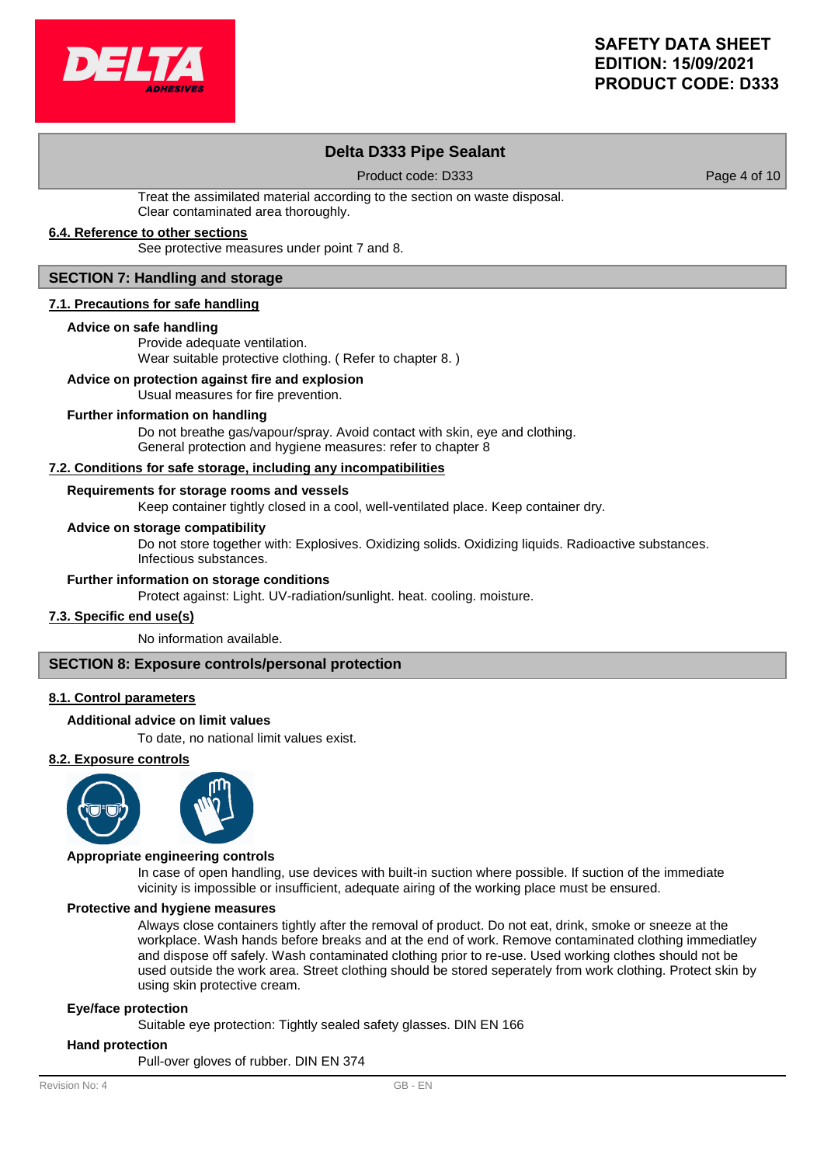

# **Delta D333 Pipe Sealant**

Product code: D333 Product code: D333

Treat the assimilated material according to the section on waste disposal. Clear contaminated area thoroughly.

# **6.4. Reference to other sections**

See protective measures under point 7 and 8.

## **SECTION 7: Handling and storage**

## **7.1. Precautions for safe handling**

## **Advice on safe handling**

Provide adequate ventilation. Wear suitable protective clothing. ( Refer to chapter 8. )

## **Advice on protection against fire and explosion**

Usual measures for fire prevention.

## **Further information on handling**

Do not breathe gas/vapour/spray. Avoid contact with skin, eye and clothing. General protection and hygiene measures: refer to chapter 8

## **7.2. Conditions for safe storage, including any incompatibilities**

# **Requirements for storage rooms and vessels**

Keep container tightly closed in a cool, well-ventilated place. Keep container dry.

## **Advice on storage compatibility**

Do not store together with: Explosives. Oxidizing solids. Oxidizing liquids. Radioactive substances. Infectious substances.

## **Further information on storage conditions**

Protect against: Light. UV-radiation/sunlight. heat. cooling. moisture.

## **7.3. Specific end use(s)**

No information available.

### **SECTION 8: Exposure controls/personal protection**

### **8.1. Control parameters**

## **Additional advice on limit values**

To date, no national limit values exist.

### **8.2. Exposure controls**



### **Appropriate engineering controls**

In case of open handling, use devices with built-in suction where possible. If suction of the immediate vicinity is impossible or insufficient, adequate airing of the working place must be ensured.

### **Protective and hygiene measures**

Always close containers tightly after the removal of product. Do not eat, drink, smoke or sneeze at the workplace. Wash hands before breaks and at the end of work. Remove contaminated clothing immediatley and dispose off safely. Wash contaminated clothing prior to re-use. Used working clothes should not be used outside the work area. Street clothing should be stored seperately from work clothing. Protect skin by using skin protective cream.

### **Eye/face protection**

Suitable eye protection: Tightly sealed safety glasses. DIN EN 166

### **Hand protection**

Pull-over gloves of rubber. DIN EN 374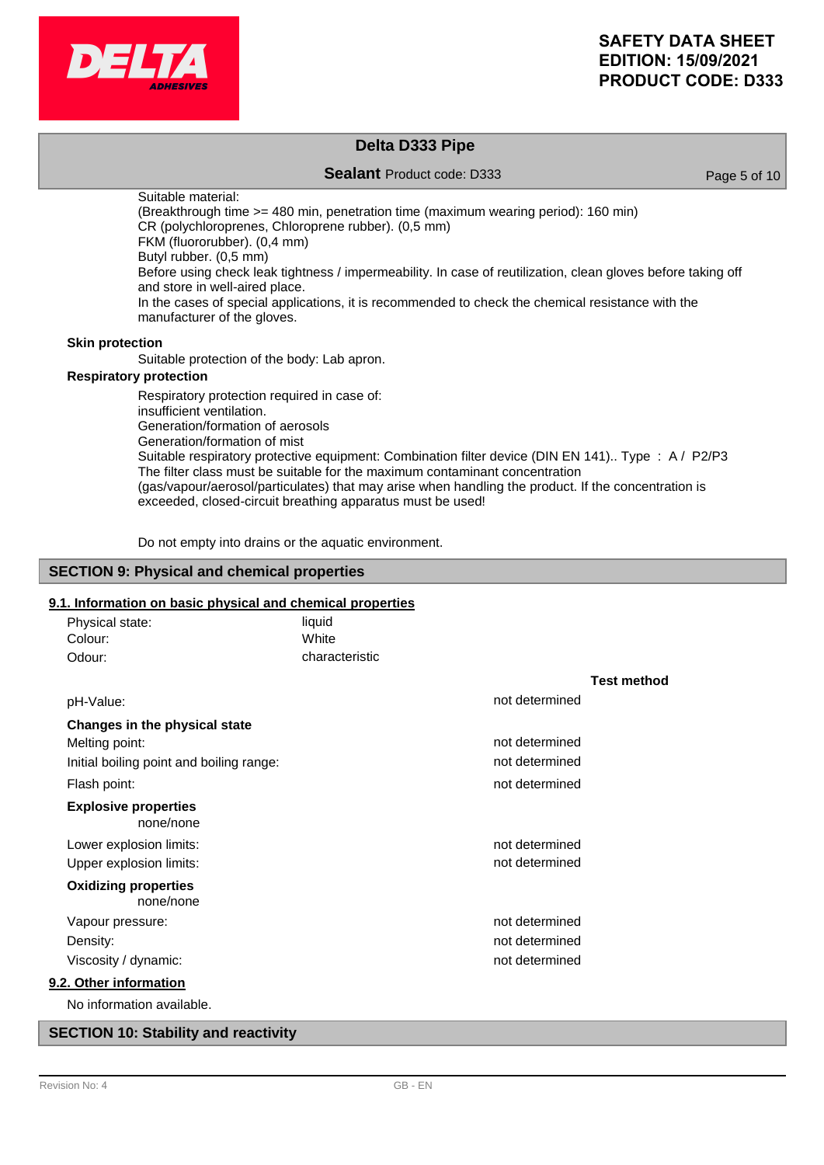

# **Delta D333 Pipe**

**Sealant** Product code: D333 Page 5 of 10

Suitable material: (Breakthrough time >= 480 min, penetration time (maximum wearing period): 160 min) CR (polychloroprenes, Chloroprene rubber). (0,5 mm) FKM (fluororubber). (0,4 mm) Butyl rubber. (0,5 mm) Before using check leak tightness / impermeability. In case of reutilization, clean gloves before taking off and store in well-aired place. In the cases of special applications, it is recommended to check the chemical resistance with the manufacturer of the gloves.

## **Skin protection**

Suitable protection of the body: Lab apron.

# **Respiratory protection**

Respiratory protection required in case of: insufficient ventilation. Generation/formation of aerosols Generation/formation of mist Suitable respiratory protective equipment: Combination filter device (DIN EN 141).. Type : A / P2/P3 The filter class must be suitable for the maximum contaminant concentration (gas/vapour/aerosol/particulates) that may arise when handling the product. If the concentration is exceeded, closed-circuit breathing apparatus must be used!

Do not empty into drains or the aquatic environment.

### **SECTION 9: Physical and chemical properties**

## **9.1. Information on basic physical and chemical properties**

| Physical state:                          | liquid         |                |                    |
|------------------------------------------|----------------|----------------|--------------------|
| Colour:                                  | White          |                |                    |
| Odour:                                   | characteristic |                |                    |
|                                          |                |                | <b>Test method</b> |
| pH-Value:                                |                | not determined |                    |
| Changes in the physical state            |                |                |                    |
| Melting point:                           |                | not determined |                    |
| Initial boiling point and boiling range: |                | not determined |                    |
| Flash point:                             |                | not determined |                    |
| <b>Explosive properties</b><br>none/none |                |                |                    |
| Lower explosion limits:                  |                | not determined |                    |
| Upper explosion limits:                  |                | not determined |                    |
| <b>Oxidizing properties</b><br>none/none |                |                |                    |
| Vapour pressure:                         |                | not determined |                    |
| Density:                                 |                | not determined |                    |
| Viscosity / dynamic:                     |                | not determined |                    |
| 9.2. Other information                   |                |                |                    |
| No information available.                |                |                |                    |

## **SECTION 10: Stability and reactivity**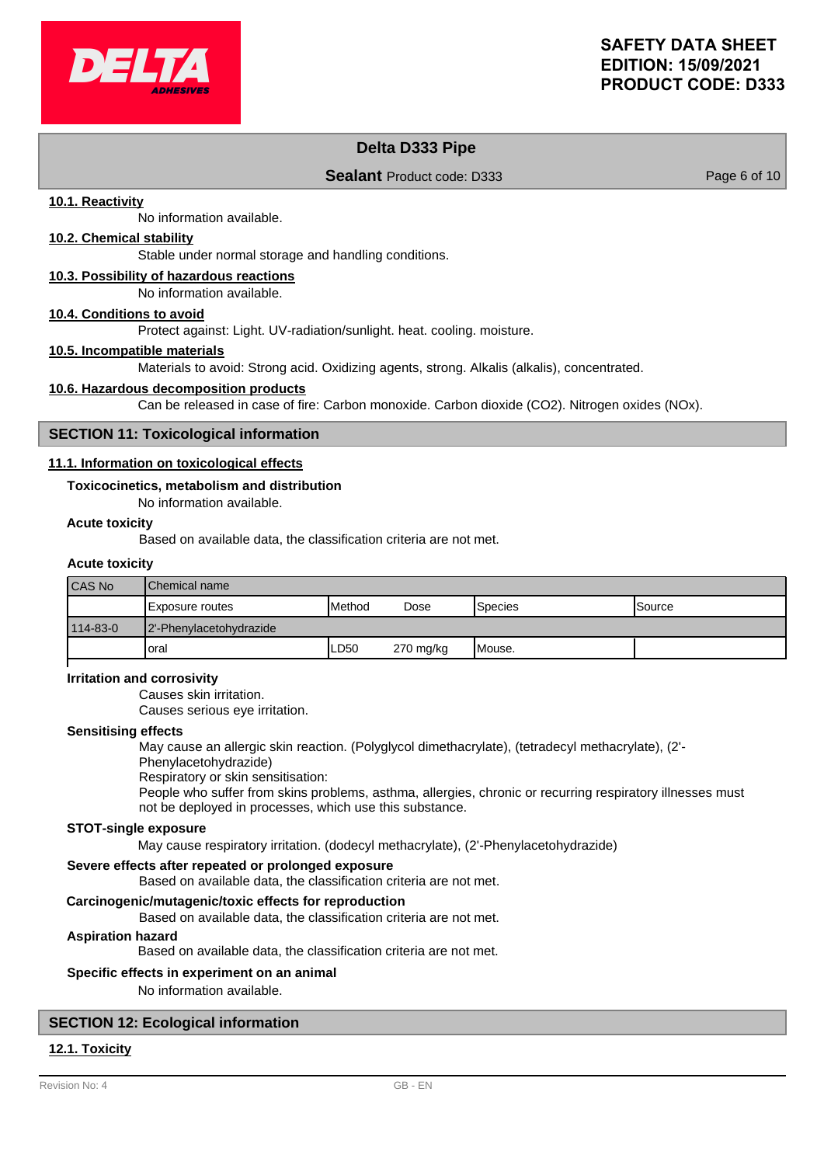

# **Delta D333 Pipe**

**Sealant** Product code: D333 Page 6 of 10

## **10.1. Reactivity**

No information available.

# **10.2. Chemical stability**

Stable under normal storage and handling conditions.

## **10.3. Possibility of hazardous reactions**

No information available.

### **10.4. Conditions to avoid**

Protect against: Light. UV-radiation/sunlight. heat. cooling. moisture.

### **10.5. Incompatible materials**

Materials to avoid: Strong acid. Oxidizing agents, strong. Alkalis (alkalis), concentrated.

### **10.6. Hazardous decomposition products**

Can be released in case of fire: Carbon monoxide. Carbon dioxide (CO2). Nitrogen oxides (NOx).

## **SECTION 11: Toxicological information**

## **11.1. Information on toxicological effects**

## **Toxicocinetics, metabolism and distribution**

No information available.

## **Acute toxicity**

Based on available data, the classification criteria are not met.

### **Acute toxicity**

| <b>CAS No</b> | IChemical name          |                 |                     |                  |                |
|---------------|-------------------------|-----------------|---------------------|------------------|----------------|
|               | IExposure routes        | <b>I</b> Method | Dose                | <b>I</b> Species | <b>ISource</b> |
| 114-83-0      | 2'-Phenylacetohydrazide |                 |                     |                  |                |
|               | loral                   | ∟D50            | $270 \text{ mg/kg}$ | Mouse.           |                |

### **Irritation and corrosivity**

Causes skin irritation.

Causes serious eye irritation.

### **Sensitising effects**

May cause an allergic skin reaction. (Polyglycol dimethacrylate), (tetradecyl methacrylate), (2'-

Phenylacetohydrazide)

Respiratory or skin sensitisation:

People who suffer from skins problems, asthma, allergies, chronic or recurring respiratory illnesses must not be deployed in processes, which use this substance.

### **STOT-single exposure**

May cause respiratory irritation. (dodecyl methacrylate), (2'-Phenylacetohydrazide)

## **Severe effects after repeated or prolonged exposure**

Based on available data, the classification criteria are not met.

## **Carcinogenic/mutagenic/toxic effects for reproduction**

Based on available data, the classification criteria are not met.

## **Aspiration hazard**

Based on available data, the classification criteria are not met.

## **Specific effects in experiment on an animal**

No information available.

# **SECTION 12: Ecological information**

## **12.1. Toxicity**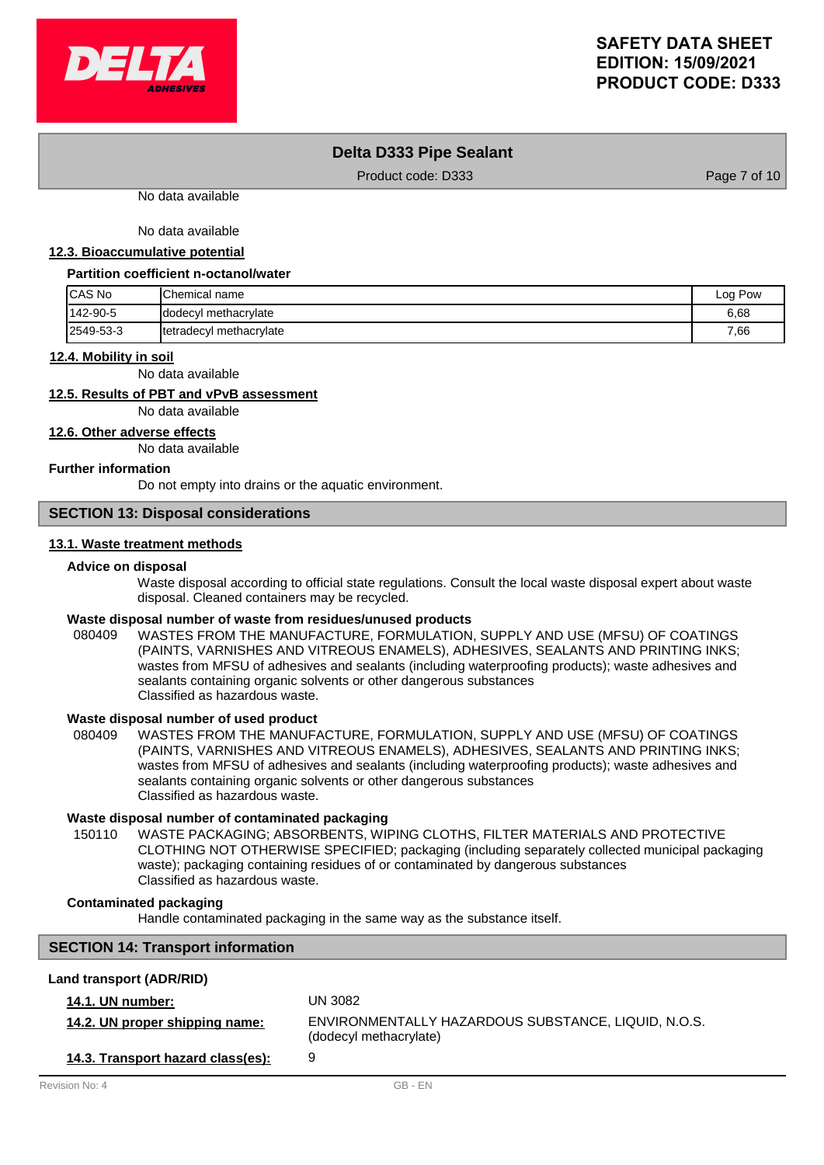

## **Delta D333 Pipe Sealant**

Product code: D333 Product code: D333

No data available

No data available

## **12.3. Bioaccumulative potential**

#### **Partition coefficient n-octanol/water**

| <b>ICAS No</b> | lChemical name          | Log Pow |
|----------------|-------------------------|---------|
| 142-90-5       | dodecyl methacrylate    | 6,68    |
| 2549-53-3      | tetradecyl methacrylate | 7,66    |

#### **12.4. Mobility in soil**

No data available

# **12.5. Results of PBT and vPvB assessment**

No data available

**12.6. Other adverse effects**

No data available

## **Further information**

Do not empty into drains or the aquatic environment.

# **SECTION 13: Disposal considerations**

## **13.1. Waste treatment methods**

### **Advice on disposal**

Waste disposal according to official state regulations. Consult the local waste disposal expert about waste disposal. Cleaned containers may be recycled.

## **Waste disposal number of waste from residues/unused products**

080409 WASTES FROM THE MANUFACTURE, FORMULATION, SUPPLY AND USE (MFSU) OF COATINGS (PAINTS, VARNISHES AND VITREOUS ENAMELS), ADHESIVES, SEALANTS AND PRINTING INKS; wastes from MFSU of adhesives and sealants (including waterproofing products); waste adhesives and sealants containing organic solvents or other dangerous substances Classified as hazardous waste.

## **Waste disposal number of used product**

WASTES FROM THE MANUFACTURE, FORMULATION, SUPPLY AND USE (MFSU) OF COATINGS (PAINTS, VARNISHES AND VITREOUS ENAMELS), ADHESIVES, SEALANTS AND PRINTING INKS; wastes from MFSU of adhesives and sealants (including waterproofing products); waste adhesives and sealants containing organic solvents or other dangerous substances Classified as hazardous waste. 080409

### **Waste disposal number of contaminated packaging**

WASTE PACKAGING; ABSORBENTS, WIPING CLOTHS, FILTER MATERIALS AND PROTECTIVE CLOTHING NOT OTHERWISE SPECIFIED; packaging (including separately collected municipal packaging waste); packaging containing residues of or contaminated by dangerous substances Classified as hazardous waste. 150110

## **Contaminated packaging**

Handle contaminated packaging in the same way as the substance itself.

# **SECTION 14: Transport information**

## **Land transport (ADR/RID)**

| <b>14.1. UN number:</b>           | UN 3082                                                                       |
|-----------------------------------|-------------------------------------------------------------------------------|
| 14.2. UN proper shipping name:    | ENVIRONMENTALLY HAZARDOUS SUBSTANCE, LIQUID, N.O.S.<br>(dodecyl methacrylate) |
| 14.3. Transport hazard class(es): | 9                                                                             |
| Revision No: 4                    | GB - FN                                                                       |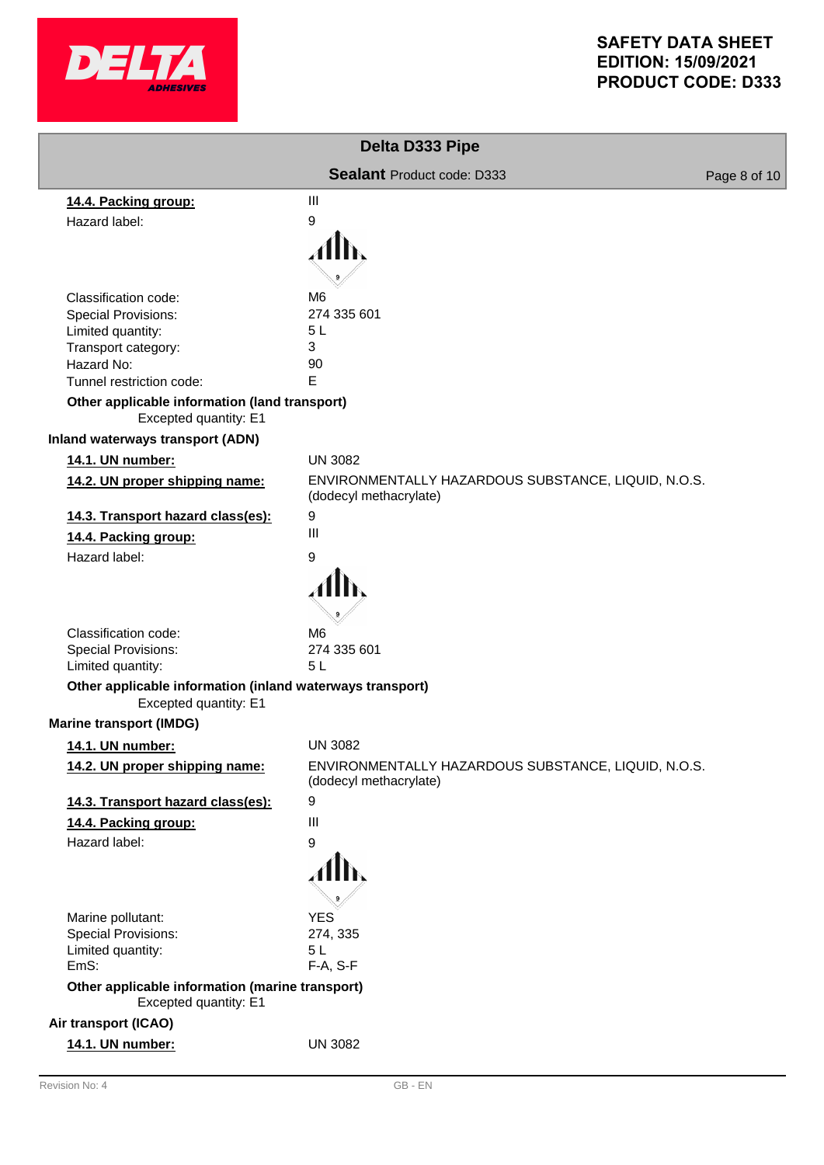

|                                                                                                                                                                                                                    | Delta D333 Pipe                                                               |              |
|--------------------------------------------------------------------------------------------------------------------------------------------------------------------------------------------------------------------|-------------------------------------------------------------------------------|--------------|
|                                                                                                                                                                                                                    | Sealant Product code: D333                                                    | Page 8 of 10 |
| 14.4. Packing group:                                                                                                                                                                                               | $\mathbf{III}$                                                                |              |
| Hazard label:                                                                                                                                                                                                      | 9                                                                             |              |
|                                                                                                                                                                                                                    |                                                                               |              |
| Classification code:<br><b>Special Provisions:</b><br>Limited quantity:<br>Transport category:<br>Hazard No:<br>Tunnel restriction code:<br>Other applicable information (land transport)<br>Excepted quantity: E1 | M <sub>6</sub><br>274 335 601<br>5 <sub>L</sub><br>3<br>90<br>E               |              |
| <b>Inland waterways transport (ADN)</b>                                                                                                                                                                            |                                                                               |              |
| 14.1. UN number:                                                                                                                                                                                                   | <b>UN 3082</b>                                                                |              |
| 14.2. UN proper shipping name:                                                                                                                                                                                     | ENVIRONMENTALLY HAZARDOUS SUBSTANCE, LIQUID, N.O.S.<br>(dodecyl methacrylate) |              |
| 14.3. Transport hazard class(es):                                                                                                                                                                                  | 9                                                                             |              |
| 14.4. Packing group:                                                                                                                                                                                               | $\mathbf{III}$                                                                |              |
| Hazard label:                                                                                                                                                                                                      | 9                                                                             |              |
| Classification code:<br>Special Provisions:<br>Limited quantity:<br>Other applicable information (inland waterways transport)<br>Excepted quantity: E1<br><b>Marine transport (IMDG)</b>                           | M <sub>6</sub><br>274 335 601<br>5L                                           |              |
| <u>14.1. UN number:</u>                                                                                                                                                                                            | <b>UN 3082</b>                                                                |              |
| 14.2. UN proper shipping name:                                                                                                                                                                                     | ENVIRONMENTALLY HAZARDOUS SUBSTANCE, LIQUID, N.O.S.<br>(dodecyl methacrylate) |              |
| 14.3. Transport hazard class(es):                                                                                                                                                                                  | 9                                                                             |              |
| 14.4. Packing group:                                                                                                                                                                                               | Ш                                                                             |              |
| Hazard label:                                                                                                                                                                                                      | 9                                                                             |              |
|                                                                                                                                                                                                                    | Alb,                                                                          |              |
| Marine pollutant:<br>Special Provisions:                                                                                                                                                                           | <b>YES</b><br>274, 335                                                        |              |
| Limited quantity:                                                                                                                                                                                                  | 5L                                                                            |              |
| EmS:                                                                                                                                                                                                               | F-A, S-F                                                                      |              |
| Other applicable information (marine transport)<br>Excepted quantity: E1                                                                                                                                           |                                                                               |              |
| Air transport (ICAO)                                                                                                                                                                                               |                                                                               |              |
| 14.1. UN number:                                                                                                                                                                                                   | <b>UN 3082</b>                                                                |              |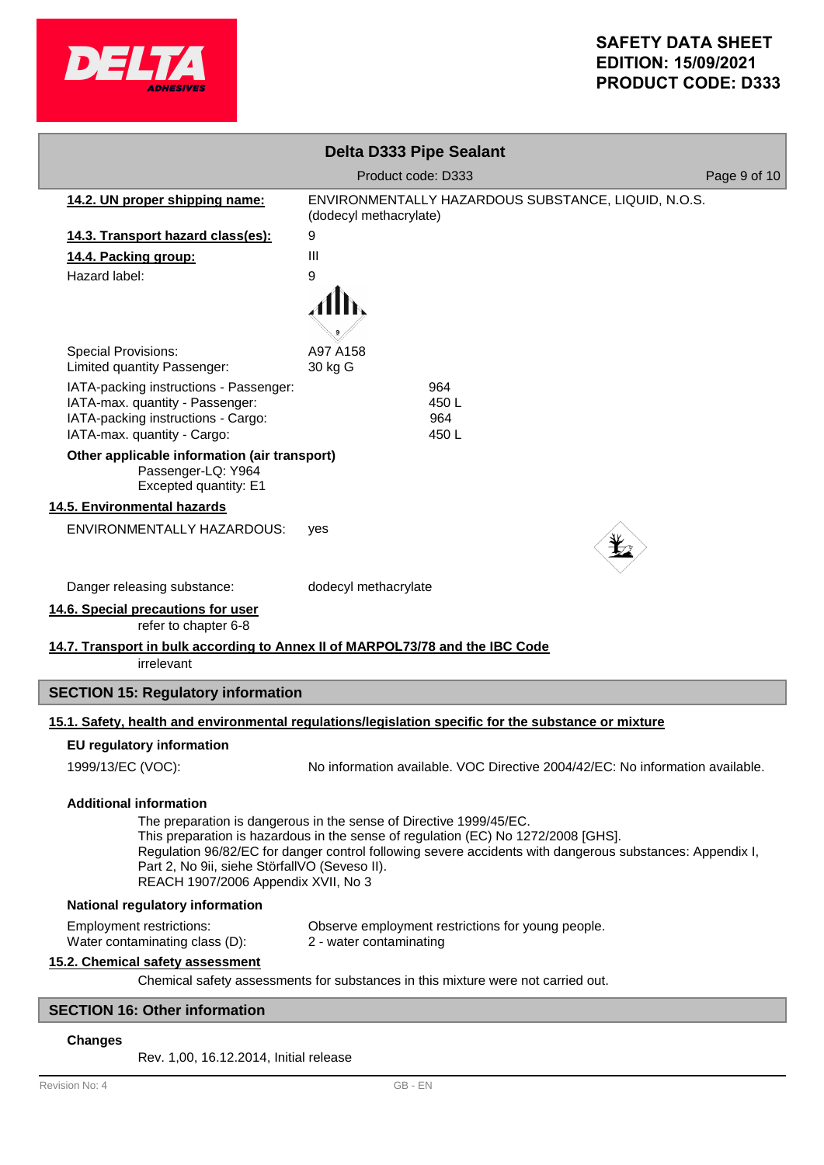

# **SAFETY DATA SHEET EDITION: 15/09/2021 PRODUCT CODE: D333**

|                                                                                                                                                                                                                                                                                                                                                                                              | <b>Delta D333 Pipe Sealant</b>                                                                       |              |
|----------------------------------------------------------------------------------------------------------------------------------------------------------------------------------------------------------------------------------------------------------------------------------------------------------------------------------------------------------------------------------------------|------------------------------------------------------------------------------------------------------|--------------|
|                                                                                                                                                                                                                                                                                                                                                                                              | Product code: D333                                                                                   | Page 9 of 10 |
| 14.2. UN proper shipping name:                                                                                                                                                                                                                                                                                                                                                               | ENVIRONMENTALLY HAZARDOUS SUBSTANCE, LIQUID, N.O.S.<br>(dodecyl methacrylate)                        |              |
| 14.3. Transport hazard class(es):                                                                                                                                                                                                                                                                                                                                                            | 9                                                                                                    |              |
| 14.4. Packing group:                                                                                                                                                                                                                                                                                                                                                                         | Ш                                                                                                    |              |
| Hazard label:                                                                                                                                                                                                                                                                                                                                                                                | 9                                                                                                    |              |
|                                                                                                                                                                                                                                                                                                                                                                                              |                                                                                                      |              |
| <b>Special Provisions:</b><br>Limited quantity Passenger:                                                                                                                                                                                                                                                                                                                                    | A97 A158<br>30 kg G                                                                                  |              |
| IATA-packing instructions - Passenger:<br>IATA-max. quantity - Passenger:<br>IATA-packing instructions - Cargo:<br>IATA-max. quantity - Cargo:                                                                                                                                                                                                                                               | 964<br>450L<br>964<br>450L                                                                           |              |
| Other applicable information (air transport)<br>Passenger-LQ: Y964<br>Excepted quantity: E1                                                                                                                                                                                                                                                                                                  |                                                                                                      |              |
| 14.5. Environmental hazards                                                                                                                                                                                                                                                                                                                                                                  |                                                                                                      |              |
| <b>ENVIRONMENTALLY HAZARDOUS:</b>                                                                                                                                                                                                                                                                                                                                                            | yes                                                                                                  |              |
| Danger releasing substance:                                                                                                                                                                                                                                                                                                                                                                  | dodecyl methacrylate                                                                                 |              |
| 14.6. Special precautions for user<br>refer to chapter 6-8                                                                                                                                                                                                                                                                                                                                   |                                                                                                      |              |
| 14.7. Transport in bulk according to Annex II of MARPOL73/78 and the IBC Code<br>irrelevant                                                                                                                                                                                                                                                                                                  |                                                                                                      |              |
| <b>SECTION 15: Regulatory information</b>                                                                                                                                                                                                                                                                                                                                                    |                                                                                                      |              |
|                                                                                                                                                                                                                                                                                                                                                                                              | 15.1. Safety, health and environmental regulations/legislation specific for the substance or mixture |              |
| <b>EU regulatory information</b>                                                                                                                                                                                                                                                                                                                                                             |                                                                                                      |              |
| 1999/13/EC (VOC):                                                                                                                                                                                                                                                                                                                                                                            | No information available. VOC Directive 2004/42/EC: No information available.                        |              |
| <b>Additional information</b><br>The preparation is dangerous in the sense of Directive 1999/45/EC.<br>This preparation is hazardous in the sense of regulation (EC) No 1272/2008 [GHS].<br>Regulation 96/82/EC for danger control following severe accidents with dangerous substances: Appendix I,<br>Part 2, No 9ii, siehe StörfallVO (Seveso II).<br>REACH 1907/2006 Appendix XVII, No 3 |                                                                                                      |              |
| National regulatory information                                                                                                                                                                                                                                                                                                                                                              |                                                                                                      |              |
| <b>Employment restrictions:</b><br>Water contaminating class (D):                                                                                                                                                                                                                                                                                                                            | Observe employment restrictions for young people.<br>2 - water contaminating                         |              |
| 15.2. Chemical safety assessment                                                                                                                                                                                                                                                                                                                                                             | Chemical safety assessments for substances in this mixture were not carried out.                     |              |
| <b>SECTION 16: Other information</b>                                                                                                                                                                                                                                                                                                                                                         |                                                                                                      |              |

# **Changes**

Rev. 1,00, 16.12.2014, Initial release